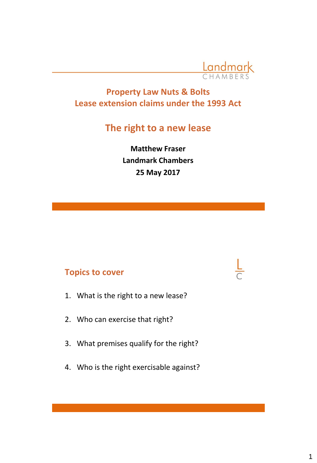

# **Property Law Nuts & Bolts Lease extension claims under the 1993 Act**

# **The right to a new lease**

**Matthew Fraser Landmark Chambers 25 May 2017** 

# **Topics to cover**

- 1. What is the right to a new lease?
- 2. Who can exercise that right?
- 3. What premises qualify for the right?
- 4. Who is the right exercisable against?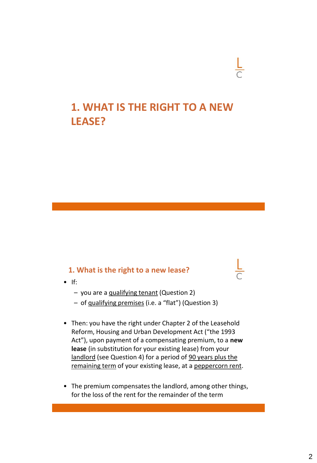# **1. WHAT IS THE RIGHT TO A NEW LEASE?**

#### **1. What is the right to a new lease?**

- If:
	- you are a qualifying tenant (Question 2)
	- of qualifying premises (i.e. a "flat") (Question 3)
- Then: you have the right under Chapter 2 of the Leasehold Reform, Housing and Urban Development Act ("the 1993 Act"), upon payment of a compensating premium, to a **new lease** (in substitution for your existing lease) from your landlord (see Question 4) for a period of 90 years plus the remaining term of your existing lease, at a peppercorn rent.
- The premium compensates the landlord, among other things, for the loss of the rent for the remainder of the term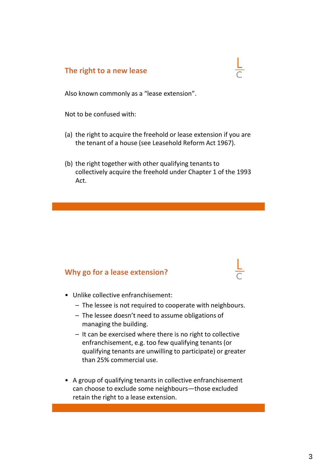#### **The right to a new lease**

Also known commonly as a "lease extension".

Not to be confused with:

- (a) the right to acquire the freehold or lease extension if you are the tenant of a house (see Leasehold Reform Act 1967).
- (b) the right together with other qualifying tenants to collectively acquire the freehold under Chapter 1 of the 1993 Act.

#### **Why go for a lease extension?**

- Unlike collective enfranchisement:
	- The lessee is not required to cooperate with neighbours.
	- The lessee doesn't need to assume obligations of managing the building.
	- It can be exercised where there is no right to collective enfranchisement, e.g. too few qualifying tenants (or qualifying tenants are unwilling to participate) or greater than 25% commercial use.
- A group of qualifying tenants in collective enfranchisement can choose to exclude some neighbours—those excluded retain the right to a lease extension.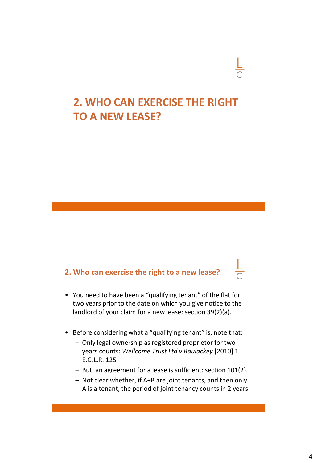# **2. WHO CAN EXERCISE THE RIGHT TO A NEW LEASE?**

# **2. Who can exercise the right to a new lease?**

- You need to have been a "qualifying tenant" of the flat for two years prior to the date on which you give notice to the landlord of your claim for a new lease: section 39(2)(a).
- Before considering what a "qualifying tenant" is, note that:
	- Only legal ownership as registered proprietor for two years counts: *Wellcome Trust Ltd v Baulackey* [2010] 1 E.G.L.R. 125
	- But, an agreement for a lease is sufficient: section 101(2).
	- Not clear whether, if A+B are joint tenants, and then only A is a tenant, the period of joint tenancy counts in 2 years.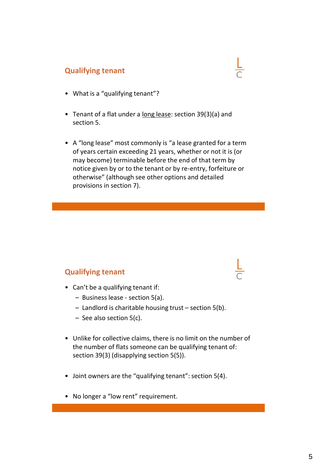### **Qualifying tenant**

- What is a "qualifying tenant"?
- Tenant of a flat under a long lease: section 39(3)(a) and section 5.
- A "long lease" most commonly is "a lease granted for a term of years certain exceeding 21 years, whether or not it is (or may become) terminable before the end of that term by notice given by or to the tenant or by re-entry, forfeiture or otherwise" (although see other options and detailed provisions in section 7).

### **Qualifying tenant**

- Can't be a qualifying tenant if:
	- Business lease section 5(a).
	- Landlord is charitable housing trust section 5(b).
	- See also section 5(c).
- Unlike for collective claims, there is no limit on the number of the number of flats someone can be qualifying tenant of: section 39(3) (disapplying section 5(5)).
- Joint owners are the "qualifying tenant": section 5(4).
- No longer a "low rent" requirement.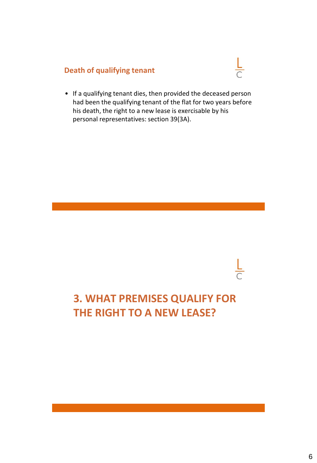# **Death of qualifying tenant**

• If a qualifying tenant dies, then provided the deceased person had been the qualifying tenant of the flat for two years before his death, the right to a new lease is exercisable by his personal representatives: section 39(3A).

 $\frac{L}{C}$ 

# **3. WHAT PREMISES QUALIFY FOR THE RIGHT TO A NEW LEASE?**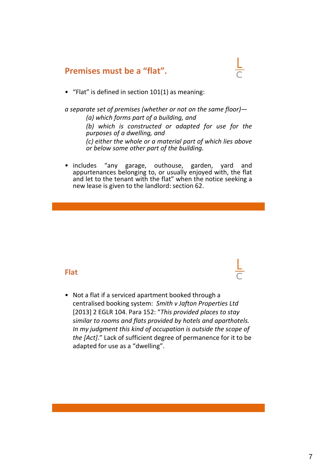### **Premises must be a "flat".**

• "Flat" is defined in section 101(1) as meaning:

*a separate set of premises (whether or not on the same floor)— (a) which forms part of a building, and (b) which is constructed or adapted for use for the purposes of a dwelling, and (c) either the whole or a material part of which lies above or below some other part of the building.*

• includes "any garage, outhouse, garden, yard and appurtenances belonging to, or usually enjoyed with, the flat and let to the tenant with the flat" when the notice seeking a new lease is given to the landlord: section 62.

#### **Flat**

• Not a flat if a serviced apartment booked through a centralised booking system: *Smith v Jafton Properties Ltd*  [2013] 2 EGLR 104. Para 152: "*This provided places to stay similar to rooms and flats provided by hotels and aparthotels. In my judgment this kind of occupation is outside the scope of the [Act]*." Lack of sufficient degree of permanence for it to be adapted for use as a "dwelling".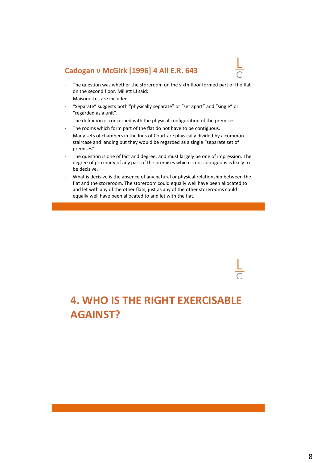#### **Cadogan v McGirk [1996] 4 All E.R. 643**



- The question was whether the storeroom on the sixth floor formed part of the flat on the second floor. Millett LJ said:
- Maisonettes are included.
- "Separate" suggests both "physically separate" or "set apart" and "single" or "regarded as a unit".
- The definition is concerned with the physical configuration of the premises.
- The rooms which form part of the flat do not have to be contiguous.
- Many sets of chambers in the Inns of Court are physically divided by a common staircase and landing but they would be regarded as a single "separate set of premises".
- The question is one of fact and degree, and must largely be one of impression. The degree of proximity of any part of the premises which is not contiguous is likely to be decisive.
- What is decisive is the absence of any natural or physical relationship between the flat and the storeroom. The storeroom could equally well have been allocated to and let with any of the other flats; just as any of the other storerooms could equally well have been allocated to and let with the flat.

**4. WHO IS THE RIGHT EXERCISABLE AGAINST?**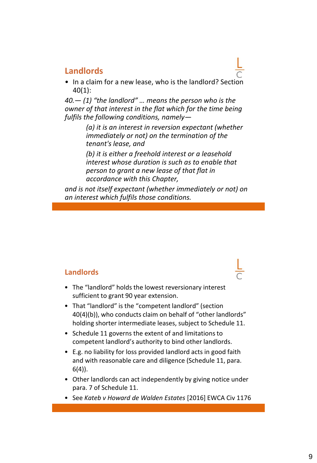# **Landlords**

• In a claim for a new lease, who is the landlord? Section 40(1):

*40.— (1) "the landlord" … means the person who is the owner of that interest in the flat which for the time being fulfils the following conditions, namely—*

> *(a) it is an interest in reversion expectant (whether immediately or not) on the termination of the tenant's lease, and*

*(b) it is either a freehold interest or a leasehold interest whose duration is such as to enable that person to grant a new lease of that flat in accordance with this Chapter,*

*and is not itself expectant (whether immediately or not) on an interest which fulfils those conditions.*

#### **Landlords**

- The "landlord" holds the lowest reversionary interest sufficient to grant 90 year extension.
- That "landlord" is the "competent landlord" (section 40(4)(b)), who conducts claim on behalf of "other landlords" holding shorter intermediate leases, subject to Schedule 11.
- Schedule 11 governs the extent of and limitations to competent landlord's authority to bind other landlords.
- E.g. no liability for loss provided landlord acts in good faith and with reasonable care and diligence (Schedule 11, para. 6(4)).
- Other landlords can act independently by giving notice under para. 7 of Schedule 11.
- See *Kateb v Howard de Walden Estates* [2016] EWCA Civ 1176